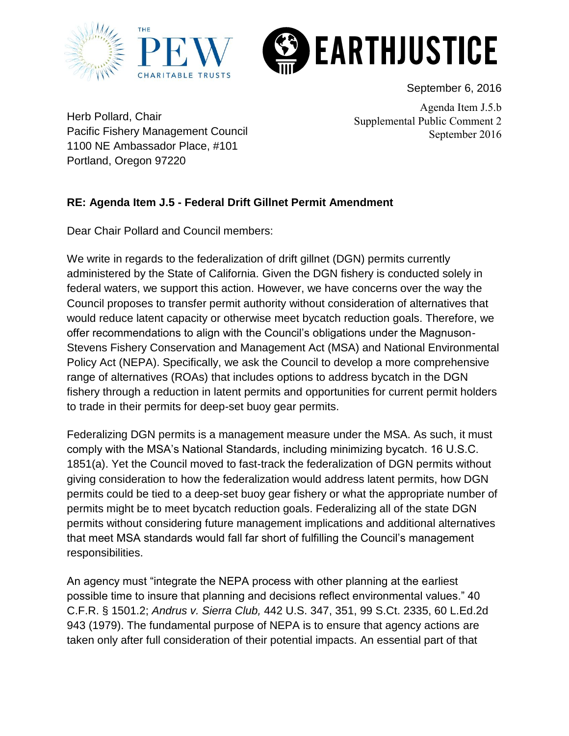



September 6, 2016

Herb Pollard, Chair Pacific Fishery Management Council 1100 NE Ambassador Place, #101 Portland, Oregon 97220

Agenda Item J.5.b Supplemental Public Comment 2 September 2016

## **RE: Agenda Item J.5 - Federal Drift Gillnet Permit Amendment**

Dear Chair Pollard and Council members:

We write in regards to the federalization of drift gillnet (DGN) permits currently administered by the State of California. Given the DGN fishery is conducted solely in federal waters, we support this action. However, we have concerns over the way the Council proposes to transfer permit authority without consideration of alternatives that would reduce latent capacity or otherwise meet bycatch reduction goals. Therefore, we offer recommendations to align with the Council's obligations under the Magnuson-Stevens Fishery Conservation and Management Act (MSA) and National Environmental Policy Act (NEPA). Specifically, we ask the Council to develop a more comprehensive range of alternatives (ROAs) that includes options to address bycatch in the DGN fishery through a reduction in latent permits and opportunities for current permit holders to trade in their permits for deep-set buoy gear permits.

Federalizing DGN permits is a management measure under the MSA. As such, it must comply with the MSA's National Standards, including minimizing bycatch. 16 U.S.C. 1851(a). Yet the Council moved to fast-track the federalization of DGN permits without giving consideration to how the federalization would address latent permits, how DGN permits could be tied to a deep-set buoy gear fishery or what the appropriate number of permits might be to meet bycatch reduction goals. Federalizing all of the state DGN permits without considering future management implications and additional alternatives that meet MSA standards would fall far short of fulfilling the Council's management responsibilities.

An agency must "integrate the NEPA process with other planning at the earliest possible time to insure that planning and decisions reflect environmental values." 40 C.F.R. § 1501.2; *Andrus v. Sierra Club,* 442 U.S. 347, 351, 99 S.Ct. 2335, 60 L.Ed.2d 943 (1979). The fundamental purpose of NEPA is to ensure that agency actions are taken only after full consideration of their potential impacts. An essential part of that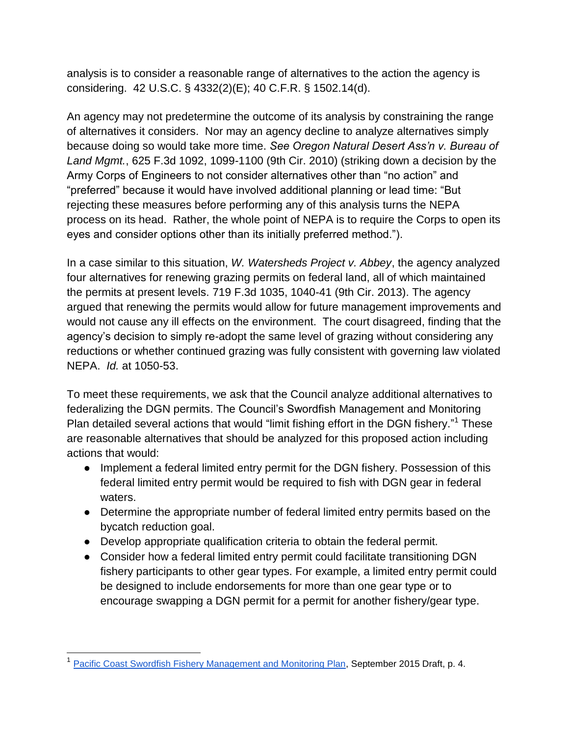analysis is to consider a reasonable range of alternatives to the action the agency is considering. 42 U.S.C. § 4332(2)(E); 40 C.F.R. § 1502.14(d).

An agency may not predetermine the outcome of its analysis by constraining the range of alternatives it considers. Nor may an agency decline to analyze alternatives simply because doing so would take more time. *See Oregon Natural Desert Ass'n v. Bureau of Land Mgmt.*, 625 F.3d 1092, 1099-1100 (9th Cir. 2010) (striking down a decision by the Army Corps of Engineers to not consider alternatives other than "no action" and "preferred" because it would have involved additional planning or lead time: "But rejecting these measures before performing any of this analysis turns the NEPA process on its head. Rather, the whole point of NEPA is to require the Corps to open its eyes and consider options other than its initially preferred method.").

In a case similar to this situation, *W. Watersheds Project v. Abbey*, the agency analyzed four alternatives for renewing grazing permits on federal land, all of which maintained the permits at present levels. 719 F.3d 1035, 1040-41 (9th Cir. 2013). The agency argued that renewing the permits would allow for future management improvements and would not cause any ill effects on the environment. The court disagreed, finding that the agency's decision to simply re-adopt the same level of grazing without considering any reductions or whether continued grazing was fully consistent with governing law violated NEPA. *Id.* at 1050-53.

To meet these requirements, we ask that the Council analyze additional alternatives to federalizing the DGN permits. The Council's Swordfish Management and Monitoring Plan detailed several actions that would "limit fishing effort in the DGN fishery."<sup>1</sup> These are reasonable alternatives that should be analyzed for this proposed action including actions that would:

- Implement a federal limited entry permit for the DGN fishery. Possession of this federal limited entry permit would be required to fish with DGN gear in federal waters.
- Determine the appropriate number of federal limited entry permits based on the bycatch reduction goal.
- Develop appropriate qualification criteria to obtain the federal permit.
- Consider how a federal limited entry permit could facilitate transitioning DGN fishery participants to other gear types. For example, a limited entry permit could be designed to include endorsements for more than one gear type or to encourage swapping a DGN permit for a permit for another fishery/gear type.

<sup>&</sup>lt;sup>1</sup> [Pacific Coast Swordfish Fishery Management and Monitoring Plan,](http://www.pcouncil.org/wp-content/uploads/2015/08/G2_Att1_SwordfishPlan1509_SEPT2015BB.pdf) September 2015 Draft, p. 4.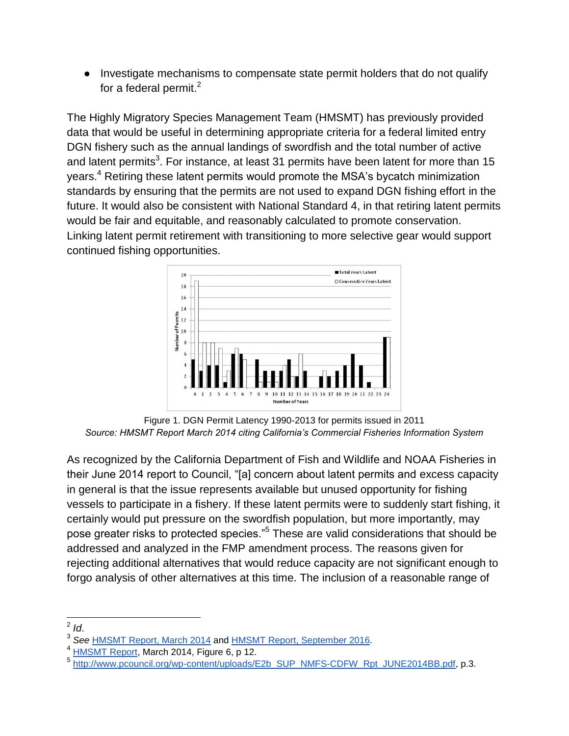● Investigate mechanisms to compensate state permit holders that do not qualify for a federal permit. $2$ 

The Highly Migratory Species Management Team (HMSMT) has previously provided data that would be useful in determining appropriate criteria for a federal limited entry DGN fishery such as the annual landings of swordfish and the total number of active and latent permits<sup>3</sup>. For instance, at least 31 permits have been latent for more than 15 years.<sup>4</sup> Retiring these latent permits would promote the MSA's bycatch minimization standards by ensuring that the permits are not used to expand DGN fishing effort in the future. It would also be consistent with National Standard 4, in that retiring latent permits would be fair and equitable, and reasonably calculated to promote conservation. Linking latent permit retirement with transitioning to more selective gear would support continued fishing opportunities.



Figure 1. DGN Permit Latency 1990-2013 for permits issued in 2011 *Source: HMSMT Report March 2014 citing California's Commercial Fisheries Information System* 

As recognized by the California Department of Fish and Wildlife and NOAA Fisheries in their June 2014 report to Council, "[a] concern about latent permits and excess capacity in general is that the issue represents available but unused opportunity for fishing vessels to participate in a fishery. If these latent permits were to suddenly start fishing, it certainly would put pressure on the swordfish population, but more importantly, may pose greater risks to protected species."<sup>5</sup> These are valid considerations that should be addressed and analyzed in the FMP amendment process. The reasons given for rejecting additional alternatives that would reduce capacity are not significant enough to forgo analysis of other alternatives at this time. The inclusion of a reasonable range of

 $\frac{2}{2}$  *Id.* 

<sup>3</sup> *See* [HMSMT Report, March 2014](http://www.pcouncil.org/wp-content/uploads/K5b_HMSMT_DGN_MAR2014BB.pdf) and [HMSMT Report, September 2016.](http://www.pcouncil.org/wp-content/uploads/2016/08/J5a_HMSMT_Rpt_DGN_SEPT2016BB.pdf)

 $<sup>4</sup>$  [HMSMT Report,](http://www.pcouncil.org/wp-content/uploads/K5b_HMSMT_DGN_MAR2014BB.pdf) March 2014, Figure 6, p 12.</sup>

<sup>&</sup>lt;sup>5</sup> [http://www.pcouncil.org/wp-content/uploads/E2b\\_SUP\\_NMFS-CDFW\\_Rpt\\_JUNE2014BB.pdf,](http://www.pcouncil.org/wp-content/uploads/E2b_SUP_NMFS-CDFW_Rpt_JUNE2014BB.pdf) p.3.